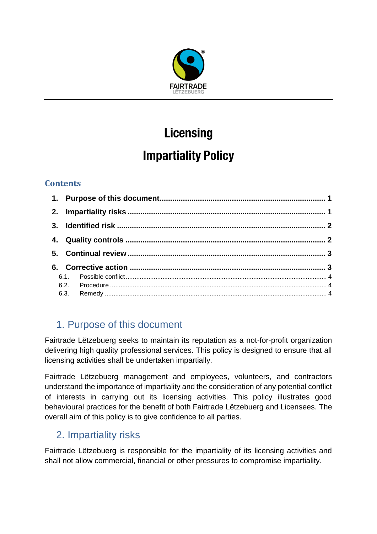

# **Licensing Impartiality Policy**

## **Contents**

# <span id="page-0-0"></span>1. Purpose of this document

Fairtrade Lëtzebuerg seeks to maintain its reputation as a not-for-profit organization delivering high quality professional services. This policy is designed to ensure that all licensing activities shall be undertaken impartially.

Fairtrade Lëtzebuerg management and employees, volunteers, and contractors understand the importance of impartiality and the consideration of any potential conflict of interests in carrying out its licensing activities. This policy illustrates good behavioural practices for the benefit of both Fairtrade Lëtzebuerg and Licensees. The overall aim of this policy is to give confidence to all parties.

## <span id="page-0-1"></span>2. Impartiality risks

Fairtrade Lëtzebuerg is responsible for the impartiality of its licensing activities and shall not allow commercial, financial or other pressures to compromise impartiality.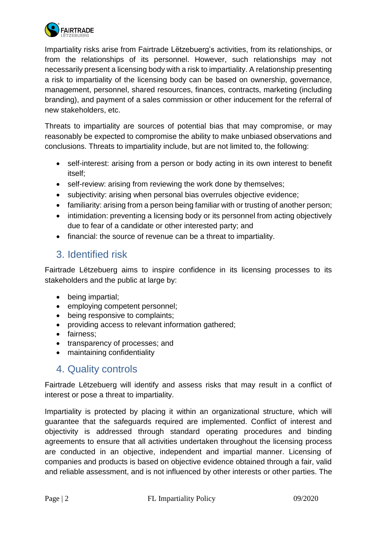

Impartiality risks arise from Fairtrade Lëtzebuerg's activities, from its relationships, or from the relationships of its personnel. However, such relationships may not necessarily present a licensing body with a risk to impartiality. A relationship presenting a risk to impartiality of the licensing body can be based on ownership, governance, management, personnel, shared resources, finances, contracts, marketing (including branding), and payment of a sales commission or other inducement for the referral of new stakeholders, etc.

Threats to impartiality are sources of potential bias that may compromise, or may reasonably be expected to compromise the ability to make unbiased observations and conclusions. Threats to impartiality include, but are not limited to, the following:

- self-interest: arising from a person or body acting in its own interest to benefit itself;
- self-review: arising from reviewing the work done by themselves;
- subjectivity: arising when personal bias overrules objective evidence;
- familiarity: arising from a person being familiar with or trusting of another person;
- intimidation: preventing a licensing body or its personnel from acting objectively due to fear of a candidate or other interested party; and
- financial: the source of revenue can be a threat to impartiality.

## <span id="page-1-0"></span>3. Identified risk

Fairtrade Lëtzebuerg aims to inspire confidence in its licensing processes to its stakeholders and the public at large by:

- being impartial;
- employing competent personnel;
- being responsive to complaints;
- providing access to relevant information gathered;
- fairness;
- transparency of processes; and
- maintaining confidentiality

#### <span id="page-1-1"></span>4. Quality controls

Fairtrade Lëtzebuerg will identify and assess risks that may result in a conflict of interest or pose a threat to impartiality.

Impartiality is protected by placing it within an organizational structure, which will guarantee that the safeguards required are implemented. Conflict of interest and objectivity is addressed through standard operating procedures and binding agreements to ensure that all activities undertaken throughout the licensing process are conducted in an objective, independent and impartial manner. Licensing of companies and products is based on objective evidence obtained through a fair, valid and reliable assessment, and is not influenced by other interests or other parties. The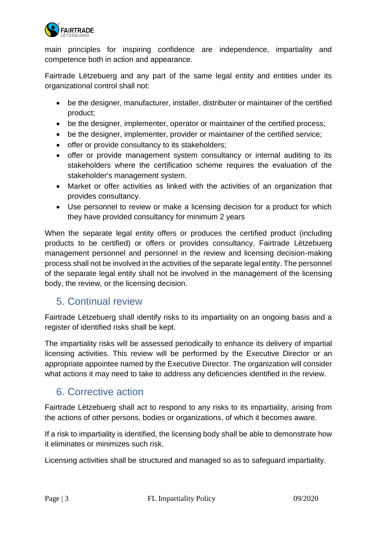

main principles for inspiring confidence are independence, impartiality and competence both in action and appearance.

Fairtrade Lëtzebuerg and any part of the same legal entity and entities under its organizational control shall not:

- be the designer, manufacturer, installer, distributer or maintainer of the certified product;
- be the designer, implementer, operator or maintainer of the certified process;
- be the designer, implementer, provider or maintainer of the certified service;
- offer or provide consultancy to its stakeholders;
- offer or provide management system consultancy or internal auditing to its stakeholders where the certification scheme requires the evaluation of the stakeholder's management system.
- Market or offer activities as linked with the activities of an organization that provides consultancy.
- Use personnel to review or make a licensing decision for a product for which they have provided consultancy for minimum 2 years

When the separate legal entity offers or produces the certified product (including products to be certified) or offers or provides consultancy, Fairtrade Lëtzebuerg management personnel and personnel in the review and licensing decision-making process shall not be involved in the activities of the separate legal entity. The personnel of the separate legal entity shall not be involved in the management of the licensing body, the review, or the licensing decision.

#### <span id="page-2-0"></span>5. Continual review

Fairtrade Lëtzebuerg shall identify risks to its impartiality on an ongoing basis and a register of identified risks shall be kept.

The impartiality risks will be assessed periodically to enhance its delivery of impartial licensing activities. This review will be performed by the Executive Director or an appropriate appointee named by the Executive Director. The organization will consider what actions it may need to take to address any deficiencies identified in the review.

#### <span id="page-2-1"></span>6. Corrective action

Fairtrade Lëtzebuerg shall act to respond to any risks to its impartiality, arising from the actions of other persons, bodies or organizations, of which it becomes aware.

If a risk to impartiality is identified, the licensing body shall be able to demonstrate how it eliminates or minimizes such risk.

Licensing activities shall be structured and managed so as to safeguard impartiality.